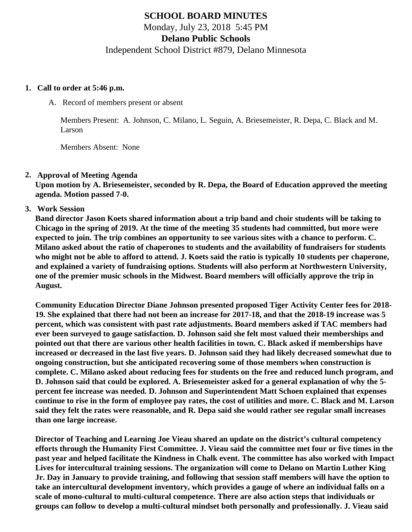# **SCHOOL BOARD MINUTES**

Monday, July 23, 2018 5:45 PM

**Delano Public Schools**

Independent School District #879, Delano Minnesota

#### **1. Call to order at 5:46 p.m.**

A. Record of members present or absent

Members Present: A. Johnson, C. Milano, L. Seguin, A. Briesemeister, R. Depa, C. Black and M. Larson

Members Absent: None

#### **2. Approval of Meeting Agenda**

**Upon motion by A. Briesemeister, seconded by R. Depa, the Board of Education approved the meeting agenda. Motion passed 7-0.**

**3. Work Session**

**Band director Jason Koets shared information about a trip band and choir students will be taking to Chicago in the spring of 2019. At the time of the meeting 35 students had committed, but more were expected to join. The trip combines an opportunity to see various sites with a chance to perform. C. Milano asked about the ratio of chaperones to students and the availability of fundraisers for students who might not be able to afford to attend. J. Koets said the ratio is typically 10 students per chaperone, and explained a variety of fundraising options. Students will also perform at Northwestern University, one of the premier music schools in the Midwest. Board members will officially approve the trip in August.**

**Community Education Director Diane Johnson presented proposed Tiger Activity Center fees for 2018- 19. She explained that there had not been an increase for 2017-18, and that the 2018-19 increase was 5 percent, which was consistent with past rate adjustments. Board members asked if TAC members had ever been surveyed to gauge satisfaction. D. Johnson said she felt most valued their memberships and pointed out that there are various other health facilities in town. C. Black asked if memberships have increased or decreased in the last five years. D. Johnson said they had likely decreased somewhat due to ongoing construction, but she anticipated recovering some of those members when construction is complete. C. Milano asked about reducing fees for students on the free and reduced lunch program, and D. Johnson said that could be explored. A. Briesemeister asked for a general explanation of why the 5 percent fee increase was needed. D. Johnson and Superintendent Matt Schoen explained that expenses continue to rise in the form of employee pay rates, the cost of utilities and more. C. Black and M. Larson said they felt the rates were reasonable, and R. Depa said she would rather see regular small increases than one large increase.**

**Director of Teaching and Learning Joe Vieau shared an update on the district's cultural competency efforts through the Humanity First Committee. J. Vieau said the committee met four or five times in the past year and helped facilitate the Kindness in Chalk event. The committee has also worked with Impact Lives for intercultural training sessions. The organization will come to Delano on Martin Luther King Jr. Day in January to provide training, and following that session staff members will have the option to take an intercultural development inventory, which provides a gauge of where an individual falls on a scale of mono-cultural to multi-cultural competence. There are also action steps that individuals or groups can follow to develop a multi-cultural mindset both personally and professionally. J. Vieau said**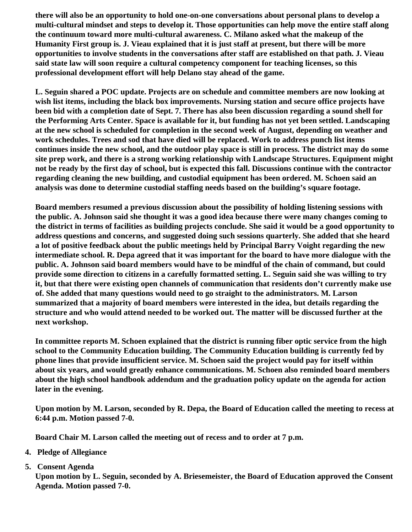**there will also be an opportunity to hold one-on-one conversations about personal plans to develop a multi-cultural mindset and steps to develop it. Those opportunities can help move the entire staff along the continuum toward more multi-cultural awareness. C. Milano asked what the makeup of the Humanity First group is. J. Vieau explained that it is just staff at present, but there will be more opportunities to involve students in the conversations after staff are established on that path. J. Vieau said state law will soon require a cultural competency component for teaching licenses, so this professional development effort will help Delano stay ahead of the game.**

**L. Seguin shared a POC update. Projects are on schedule and committee members are now looking at wish list items, including the black box improvements. Nursing station and secure office projects have been bid with a completion date of Sept. 7. There has also been discussion regarding a sound shell for the Performing Arts Center. Space is available for it, but funding has not yet been settled. Landscaping at the new school is scheduled for completion in the second week of August, depending on weather and work schedules. Trees and sod that have died will be replaced. Work to address punch list items continues inside the new school, and the outdoor play space is still in process. The district may do some site prep work, and there is a strong working relationship with Landscape Structures. Equipment might not be ready by the first day of school, but is expected this fall. Discussions continue with the contractor regarding cleaning the new building, and custodial equipment has been ordered. M. Schoen said an analysis was done to determine custodial staffing needs based on the building's square footage.**

**Board members resumed a previous discussion about the possibility of holding listening sessions with the public. A. Johnson said she thought it was a good idea because there were many changes coming to the district in terms of facilities as building projects conclude. She said it would be a good opportunity to address questions and concerns, and suggested doing such sessions quarterly. She added that she heard a lot of positive feedback about the public meetings held by Principal Barry Voight regarding the new intermediate school. R. Depa agreed that it was important for the board to have more dialogue with the public. A. Johnson said board members would have to be mindful of the chain of command, but could provide some direction to citizens in a carefully formatted setting. L. Seguin said she was willing to try it, but that there were existing open channels of communication that residents don't currently make use of. She added that many questions would need to go straight to the administrators. M. Larson summarized that a majority of board members were interested in the idea, but details regarding the structure and who would attend needed to be worked out. The matter will be discussed further at the next workshop.**

**In committee reports M. Schoen explained that the district is running fiber optic service from the high school to the Community Education building. The Community Education building is currently fed by phone lines that provide insufficient service. M. Schoen said the project would pay for itself within about six years, and would greatly enhance communications. M. Schoen also reminded board members about the high school handbook addendum and the graduation policy update on the agenda for action later in the evening.**

**Upon motion by M. Larson, seconded by R. Depa, the Board of Education called the meeting to recess at 6:44 p.m. Motion passed 7-0.**

**Board Chair M. Larson called the meeting out of recess and to order at 7 p.m.**

- **4. Pledge of Allegiance**
- **5. Consent Agenda**

**Upon motion by L. Seguin, seconded by A. Briesemeister, the Board of Education approved the Consent Agenda. Motion passed 7-0.**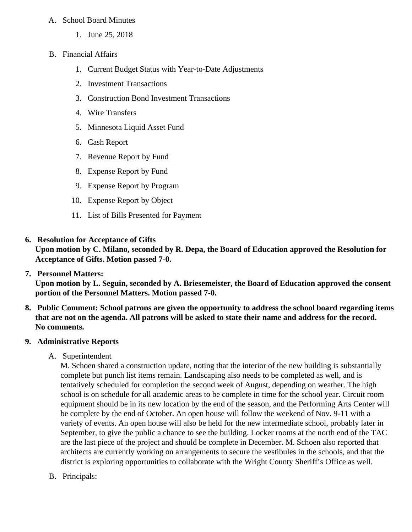### A. School Board Minutes

- 1. June 25, 2018
- B. Financial Affairs
	- 1. Current Budget Status with Year-to-Date Adjustments
	- 2. Investment Transactions
	- 3. Construction Bond Investment Transactions
	- 4. Wire Transfers
	- 5. Minnesota Liquid Asset Fund
	- 6. Cash Report
	- 7. Revenue Report by Fund
	- 8. Expense Report by Fund
	- 9. Expense Report by Program
	- 10. Expense Report by Object
	- 11. List of Bills Presented for Payment
- **6. Resolution for Acceptance of Gifts**

**Upon motion by C. Milano, seconded by R. Depa, the Board of Education approved the Resolution for Acceptance of Gifts. Motion passed 7-0.**

**7. Personnel Matters:**

**Upon motion by L. Seguin, seconded by A. Briesemeister, the Board of Education approved the consent portion of the Personnel Matters. Motion passed 7-0.**

**8. Public Comment: School patrons are given the opportunity to address the school board regarding items that are not on the agenda. All patrons will be asked to state their name and address for the record. No comments.**

### **9. Administrative Reports**

A. Superintendent

M. Schoen shared a construction update, noting that the interior of the new building is substantially complete but punch list items remain. Landscaping also needs to be completed as well, and is tentatively scheduled for completion the second week of August, depending on weather. The high school is on schedule for all academic areas to be complete in time for the school year. Circuit room equipment should be in its new location by the end of the season, and the Performing Arts Center will be complete by the end of October. An open house will follow the weekend of Nov. 9-11 with a variety of events. An open house will also be held for the new intermediate school, probably later in September, to give the public a chance to see the building. Locker rooms at the north end of the TAC are the last piece of the project and should be complete in December. M. Schoen also reported that architects are currently working on arrangements to secure the vestibules in the schools, and that the district is exploring opportunities to collaborate with the Wright County Sheriff's Office as well.

B. Principals: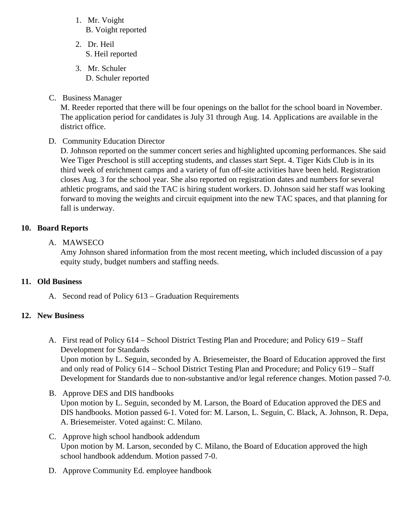- 1. Mr. Voight B. Voight reported
- 2. Dr. Heil S. Heil reported
- 3. Mr. Schuler D. Schuler reported
- C. Business Manager

M. Reeder reported that there will be four openings on the ballot for the school board in November. The application period for candidates is July 31 through Aug. 14. Applications are available in the district office.

D. Community Education Director

D. Johnson reported on the summer concert series and highlighted upcoming performances. She said Wee Tiger Preschool is still accepting students, and classes start Sept. 4. Tiger Kids Club is in its third week of enrichment camps and a variety of fun off-site activities have been held. Registration closes Aug. 3 for the school year. She also reported on registration dates and numbers for several athletic programs, and said the TAC is hiring student workers. D. Johnson said her staff was looking forward to moving the weights and circuit equipment into the new TAC spaces, and that planning for fall is underway.

# **10. Board Reports**

A. MAWSECO

Amy Johnson shared information from the most recent meeting, which included discussion of a pay equity study, budget numbers and staffing needs.

### **11. Old Business**

A. Second read of Policy 613 – Graduation Requirements

# **12. New Business**

A. First read of Policy 614 – School District Testing Plan and Procedure; and Policy 619 – Staff Development for Standards

Upon motion by L. Seguin, seconded by A. Briesemeister, the Board of Education approved the first and only read of Policy 614 – School District Testing Plan and Procedure; and Policy 619 – Staff Development for Standards due to non-substantive and/or legal reference changes. Motion passed 7-0.

- B. Approve DES and DIS handbooks Upon motion by L. Seguin, seconded by M. Larson, the Board of Education approved the DES and DIS handbooks. Motion passed 6-1. Voted for: M. Larson, L. Seguin, C. Black, A. Johnson, R. Depa, A. Briesemeister. Voted against: C. Milano.
- C. Approve high school handbook addendum Upon motion by M. Larson, seconded by C. Milano, the Board of Education approved the high school handbook addendum. Motion passed 7-0.
- D. Approve Community Ed. employee handbook